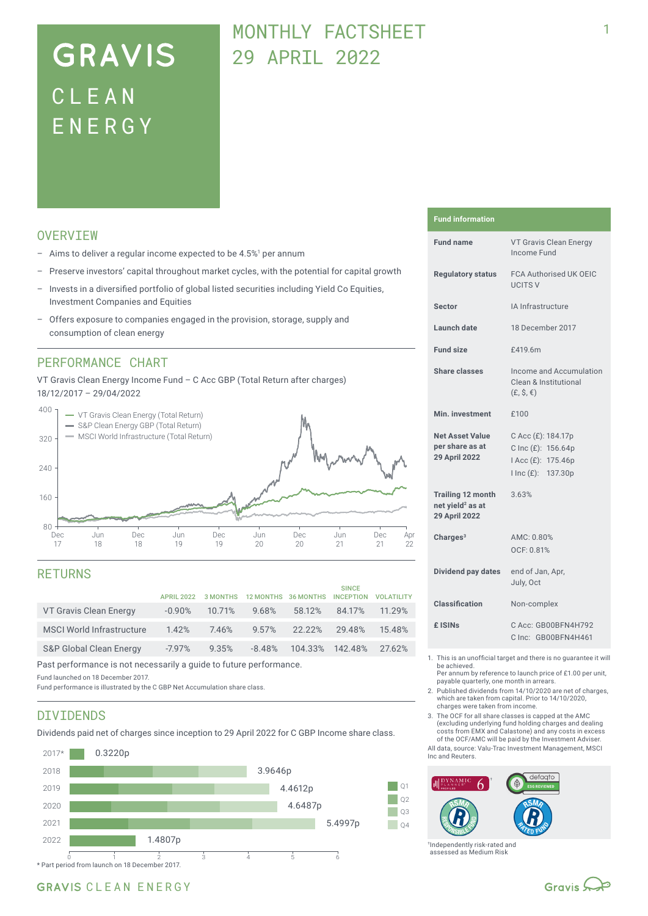# **GRAVIS** CLEA N ENERG Y

## MONTHLY FACTSHEET 29 APRIL 2022

### **OVERVTEW**

- $-$  Aims to deliver a regular income expected to be 4.5%<sup>1</sup> per annum
- Preserve investors' capital throughout market cycles, with the potential for capital growth
- Invests in a diversified portfolio of global listed securities including Yield Co Equities, Investment Companies and Equities
- Offers exposure to companies engaged in the provision, storage, supply and consumption of clean energy

#### PERFORMANCE CHART

VT Gravis Clean Energy Income Fund – C Acc GBP (Total Return after charges) 18/12/2017 – 29/04/2022



#### RETURNS

| <b>APRIL 2022</b> |        |          |                 | <b>SINCE</b><br><b>INCEPTION</b> | <b>VOLATILITY</b> |
|-------------------|--------|----------|-----------------|----------------------------------|-------------------|
| $-0.90%$          | 10.71% | 9.68%    | 58.12%          | 84.17%                           | 11.29%            |
| 1.42%             | 7.46%  | 9.57%    | $22.22\%$       | 29.48%                           | 15.48%            |
| $-7.97\%$         | 9.35%  | $-8.48%$ |                 |                                  | 27.62%            |
|                   |        |          | <b>3 MONTHS</b> | 12 MONTHS 36 MONTHS              | 104.33% 142.48%   |

Past performance is not necessarily a guide to future performance.

Fund launched on 18 December 2017.

Fund performance is illustrated by the C GBP Net Accumulation share class.

#### DIVIDENDS

Dividends paid net of charges since inception to 29 April 2022 for C GBP Income share class.



#### **Fund information**

| <b>Fund name</b>                                                                 | VT Gravis Clean Energy<br>Income Fund                                                |  |  |  |
|----------------------------------------------------------------------------------|--------------------------------------------------------------------------------------|--|--|--|
| <b>Requlatory status</b>                                                         | <b>FCA Authorised UK OEIC</b><br><b>UCITS V</b>                                      |  |  |  |
| Sector                                                                           | IA Infrastructure                                                                    |  |  |  |
| Launch date                                                                      | 18 December 2017                                                                     |  |  |  |
| <b>Fund size</b>                                                                 | £419.6m                                                                              |  |  |  |
| Share classes                                                                    | Income and Accumulation<br>Clean & Institutional<br>$(E, \hat{S}, \epsilon)$         |  |  |  |
| Min. investment                                                                  | £100                                                                                 |  |  |  |
| <b>Net Asset Value</b><br>per share as at<br><b>29 April 2022</b>                | C Acc (£): 184.17p<br>C Inc (£): 156.64p<br>I Acc (£): 175.46p<br>I Inc (£): 137.30p |  |  |  |
| <b>Trailing 12 month</b><br>net yield <sup>2</sup> as at<br><b>29 April 2022</b> | 3.63%                                                                                |  |  |  |
| Charges $3$                                                                      | AMC: 0.80%<br>OCF: 0.81%                                                             |  |  |  |
| Dividend pay dates                                                               | end of Jan, Apr,<br>July, Oct                                                        |  |  |  |
| Classification                                                                   | Non-complex                                                                          |  |  |  |
| £ ISIN <sub>S</sub>                                                              | C Acc: GB00BFN4H792<br>C Inc: GB00BFN4H461                                           |  |  |  |
|                                                                                  |                                                                                      |  |  |  |

1. This is an unofficial target and there is no guarantee it will be achieved.

Per annum by reference to launch price of £1.00 per unit, payable quarterly, one month in arrears.

2. Published dividends from 14/10/2020 are net of charges, which are taken from capital. Prior to 14/10/2020, charges were taken from income.

3. The OCF for all share classes is capped at the AMC (excluding underlying fund holding charges and dealing costs from EMX and Calastone) and any costs in excess of the OCF/AMC will be paid by the Investment Adviser.

All data, source: Valu-Trac Investment Management, MSCI Inc and Reuters.



†Independently risk-rated and assessed as Medium Risk

#### GRAVIS CLEAN ENERGY

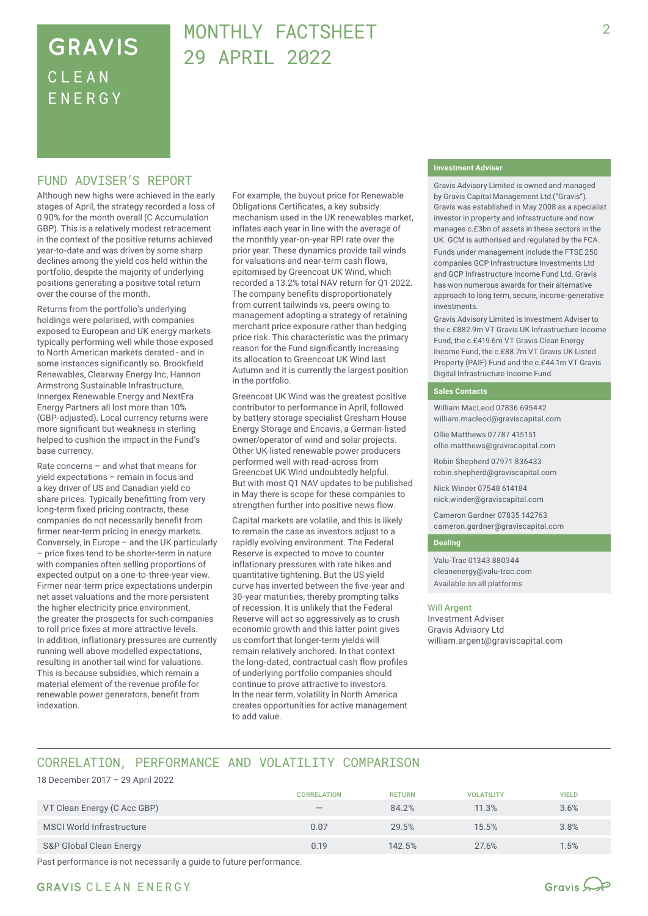## **GRAVIS** CLEA N ENERG Y

## MONTHLY FACTSHEET 29 APRIL 2022

#### FUND ADVISER'S REPORT

Although new highs were achieved in the early stages of April, the strategy recorded a loss of 0.90% for the month overall (C Accumulation GBP). This is a relatively modest retracement in the context of the positive returns achieved year-to-date and was driven by some sharp declines among the yield cos held within the portfolio, despite the majority of underlying positions generating a positive total return over the course of the month.

Returns from the portfolio's underlying holdings were polarised, with companies exposed to European and UK energy markets typically performing well while those exposed to North American markets derated - and in some instances significantly so. Brookfield Renewables, Clearway Energy Inc, Hannon Armstrong Sustainable Infrastructure, Innergex Renewable Energy and NextEra Energy Partners all lost more than 10% (GBP‑adjusted). Local currency returns were more significant but weakness in sterling helped to cushion the impact in the Fund's base currency.

Rate concerns – and what that means for yield expectations – remain in focus and a key driver of US and Canadian yield co share prices. Typically benefitting from very long-term fixed pricing contracts, these companies do not necessarily benefit from firmer near-term pricing in energy markets. Conversely, in Europe – and the UK particularly – price fixes tend to be shorter-term in nature with companies often selling proportions of expected output on a one-to-three-year view. Firmer near-term price expectations underpin net asset valuations and the more persistent the higher electricity price environment, the greater the prospects for such companies to roll price fixes at more attractive levels. In addition, inflationary pressures are currently running well above modelled expectations, resulting in another tail wind for valuations. This is because subsidies, which remain a material element of the revenue profile for renewable power generators, benefit from indexation.

For example, the buyout price for Renewable Obligations Certificates, a key subsidy mechanism used in the UK renewables market, inflates each year in line with the average of the monthly year-on-year RPI rate over the prior year. These dynamics provide tail winds for valuations and near-term cash flows, epitomised by Greencoat UK Wind, which recorded a 13.2% total NAV return for Q1 2022. The company benefits disproportionately from current tailwinds vs. peers owing to management adopting a strategy of retaining merchant price exposure rather than hedging price risk. This characteristic was the primary reason for the Fund significantly increasing its allocation to Greencoat UK Wind last Autumn and it is currently the largest position in the portfolio.

Greencoat UK Wind was the greatest positive contributor to performance in April, followed by battery storage specialist Gresham House Energy Storage and Encavis, a German-listed owner/operator of wind and solar projects. Other UK-listed renewable power producers performed well with read-across from Greencoat UK Wind undoubtedly helpful. But with most Q1 NAV updates to be published in May there is scope for these companies to strengthen further into positive news flow.

Capital markets are volatile, and this is likely to remain the case as investors adjust to a rapidly evolving environment. The Federal Reserve is expected to move to counter inflationary pressures with rate hikes and quantitative tightening. But the US yield curve has inverted between the five-year and 30-year maturities, thereby prompting talks of recession. It is unlikely that the Federal Reserve will act so aggressively as to crush economic growth and this latter point gives us comfort that longer-term yields will remain relatively anchored. In that context the long-dated, contractual cash flow profiles of underlying portfolio companies should continue to prove attractive to investors. In the near term, volatility in North America creates opportunities for active management to add value.

#### **Investment Adviser**

Gravis Advisory Limited is owned and managed by Gravis Capital Management Ltd ("Gravis"). Gravis was established in May 2008 as a specialist investor in property and infrastructure and now manages c.£3bn of assets in these sectors in the UK. GCM is authorised and regulated by the FCA.

Funds under management include the FTSE 250 companies GCP Infrastructure Investments Ltd and GCP Infrastructure Income Fund Ltd. Gravis has won numerous awards for their alternative approach to long term, secure, income-generative investments.

Gravis Advisory Limited is Investment Adviser to the c.£882.9m VT Gravis UK Infrastructure Income Fund, the c.£419.6m VT Gravis Clean Energy Income Fund, the c.£88.7m VT Gravis UK Listed Property (PAIF) Fund and the c.£44.1m VT Gravis Digital Infrastructure Income Fund.

#### **Sales Contacts**

William MacLeod 07836 695442 william.macleod@graviscapital.com

Ollie Matthews 07787 415151 ollie.matthews@graviscapital.com

Robin Shepherd 07971 836433 robin.shepherd@graviscapital.com

Nick Winder 07548 614184 nick.winder@graviscapital.com

Cameron Gardner 07835 142763 cameron.gardner@graviscapital.com

#### **Dealing**

Valu-Trac 01343 880344 cleanenergy@valu-trac.com Available on all platforms

#### Will Argent

Investment Adviser Gravis Advisory Ltd william.argent@graviscapital.com

### CORRELATION, PERFORMANCE AND VOLATILITY COMPARISON

#### 18 December 2017 – 29 April 2022

|                                  | <b>CORRELATION</b>              | <b>RETURN</b> | <b>VOLATILITY</b> | <b>YIELD</b> |
|----------------------------------|---------------------------------|---------------|-------------------|--------------|
| VT Clean Energy (C Acc GBP)      | $\hspace{0.1mm}-\hspace{0.1mm}$ | 84.2%         | 11.3%             | 3.6%         |
| <b>MSCI World Infrastructure</b> | 0.07                            | 29.5%         | 15.5%             | 3.8%         |
| S&P Global Clean Energy          | 0.19                            | 142.5%        | 27.6%             | 1.5%         |

Past performance is not necessarily a guide to future performance.